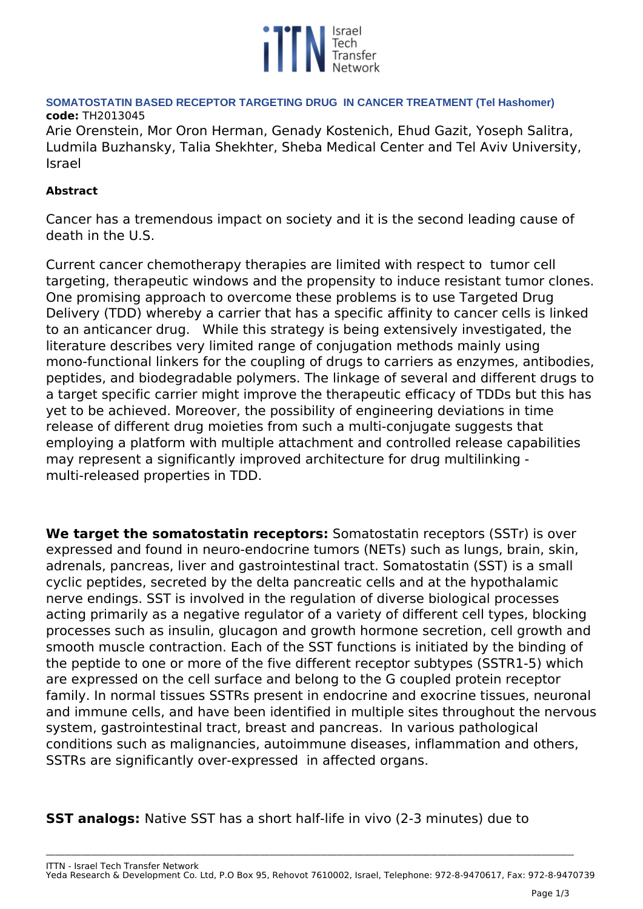

### **SOMATOSTATIN BASED RECEPTOR TARGETING DRUG IN CANCER TREATMENT (Tel Hashomer) code:** *TH2013045*

*Arie Orenstein, Mor Oron Herman, Genady Kostenich, Ehud Gazit, Yoseph Salitra, Ludmila Buzhansky, Talia Shekhter, Sheba Medical Center and Tel Aviv University, Israel*

# **Abstract**

*Cancer has a tremendous impact on society and it is the second leading cause of death in the U.S.* 

*Current cancer chemotherapy therapies are limited with respect to tumor cell targeting, therapeutic windows and the propensity to induce resistant tumor clones. One promising approach to overcome these problems is to use Targeted Drug Delivery (TDD) whereby a carrier that has a specific affinity to cancer cells is linked to an anticancer drug. While this strategy is being extensively investigated, the literature describes very limited range of conjugation methods mainly using mono-functional linkers for the coupling of drugs to carriers as enzymes, antibodies, peptides, and biodegradable polymers. The linkage of several and different drugs to a target specific carrier might improve the therapeutic efficacy of TDDs but this has yet to be achieved. Moreover, the possibility of engineering deviations in time release of different drug moieties from such a multi-conjugate suggests that employing a platform with multiple attachment and controlled release capabilities may represent a significantly improved architecture for drug multilinking multi-released properties in TDD.*

**We target the somatostatin receptors:** *Somatostatin receptors (SSTr) is over expressed and found in neuro-endocrine tumors (NETs) such as lungs, brain, skin, adrenals, pancreas, liver and gastrointestinal tract. Somatostatin (SST) is a small cyclic peptides, secreted by the delta pancreatic cells and at the hypothalamic nerve endings. SST is involved in the regulation of diverse biological processes acting primarily as a negative regulator of a variety of different cell types, blocking processes such as insulin, glucagon and growth hormone secretion, cell growth and smooth muscle contraction. Each of the SST functions is initiated by the binding of the peptide to one or more of the five different receptor subtypes (SSTR1-5) which are expressed on the cell surface and belong to the G coupled protein receptor family. In normal tissues SSTRs present in endocrine and exocrine tissues, neuronal and immune cells, and have been identified in multiple sites throughout the nervous system, gastrointestinal tract, breast and pancreas. In various pathological conditions such as malignancies, autoimmune diseases, inflammation and others, SSTRs are significantly over-expressed in affected organs.*

**SST analogs:** *Native SST has a short half-life in vivo (2-3 minutes) due to*

**\_\_\_\_\_\_\_\_\_\_\_\_\_\_\_\_\_\_\_\_\_\_\_\_\_\_\_\_\_\_\_\_\_\_\_\_\_\_\_\_\_\_\_\_\_\_\_\_\_\_\_\_\_\_\_\_\_\_\_\_\_\_\_\_\_\_\_\_\_\_\_\_\_\_\_\_\_\_\_\_\_\_\_\_\_\_\_\_\_\_\_\_\_\_\_\_\_\_\_\_\_\_\_\_\_\_\_\_\_\_\_\_\_\_\_\_\_\_\_\_\_\_\_\_\_\_\_\_\_\_\_\_\_\_\_\_\_\_\_\_\_\_\_\_\_\_\_\_\_\_\_\_\_\_\_\_\_\_\_\_\_\_\_**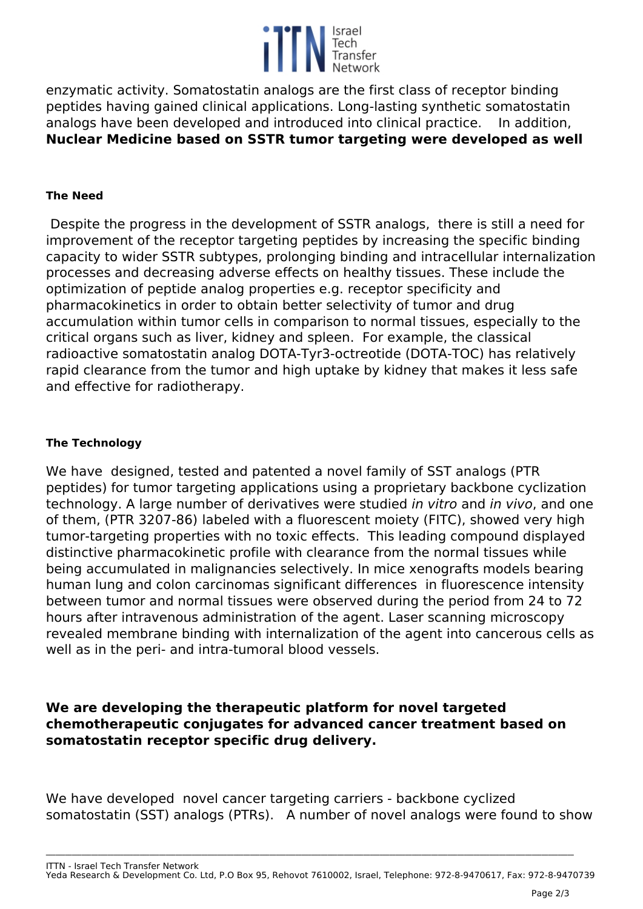

*enzymatic activity. Somatostatin analogs are the first class of receptor binding peptides having gained clinical applications. Long-lasting synthetic somatostatin analogs have been developed and introduced into clinical practice. In addition,*  **Nuclear Medicine based on SSTR tumor targeting were developed as well** 

### **The Need**

*Despite the progress in the development of SSTR analogs, there is still a need for improvement of the receptor targeting peptides by increasing the specific binding capacity to wider SSTR subtypes, prolonging binding and intracellular internalization processes and decreasing adverse effects on healthy tissues. These include the optimization of peptide analog properties e.g. receptor specificity and pharmacokinetics in order to obtain better selectivity of tumor and drug accumulation within tumor cells in comparison to normal tissues, especially to the critical organs such as liver, kidney and spleen. For example, the classical radioactive somatostatin analog DOTA-Tyr3-octreotide (DOTA-TOC) has relatively rapid clearance from the tumor and high uptake by kidney that makes it less safe and effective for radiotherapy.*

#### **The Technology**

*We have designed, tested and patented a novel family of SST analogs (PTR peptides) for tumor targeting applications using a proprietary backbone cyclization technology. A large number of derivatives were studied in vitro and in vivo, and one of them, (PTR 3207-86) labeled with a fluorescent moiety (FITC), showed very high tumor-targeting properties with no toxic effects. This leading compound displayed distinctive pharmacokinetic profile with clearance from the normal tissues while being accumulated in malignancies selectively. In mice xenografts models bearing human lung and colon carcinomas significant differences in fluorescence intensity between tumor and normal tissues were observed during the period from 24 to 72 hours after intravenous administration of the agent. Laser scanning microscopy revealed membrane binding with internalization of the agent into cancerous cells as well as in the peri- and intra-tumoral blood vessels.* 

## **We are developing the therapeutic platform for novel targeted chemotherapeutic conjugates for advanced cancer treatment based on somatostatin receptor specific drug delivery.**

*We have developed novel cancer targeting carriers - backbone cyclized somatostatin (SST) analogs (PTRs). A number of novel analogs were found to show*

*ITTN - Israel Tech Transfer Network Yeda Research & Development Co. Ltd, P.O Box 95, Rehovot 7610002, Israel, Telephone: 972-8-9470617, Fax: 972-8-9470739*

**\_\_\_\_\_\_\_\_\_\_\_\_\_\_\_\_\_\_\_\_\_\_\_\_\_\_\_\_\_\_\_\_\_\_\_\_\_\_\_\_\_\_\_\_\_\_\_\_\_\_\_\_\_\_\_\_\_\_\_\_\_\_\_\_\_\_\_\_\_\_\_\_\_\_\_\_\_\_\_\_\_\_\_\_\_\_\_\_\_\_\_\_\_\_\_\_\_\_\_\_\_\_\_\_\_\_\_\_\_\_\_\_\_\_\_\_\_\_\_\_\_\_\_\_\_\_\_\_\_\_\_\_\_\_\_\_\_\_\_\_\_\_\_\_\_\_\_\_\_\_\_\_\_\_\_\_\_\_\_\_\_\_\_**